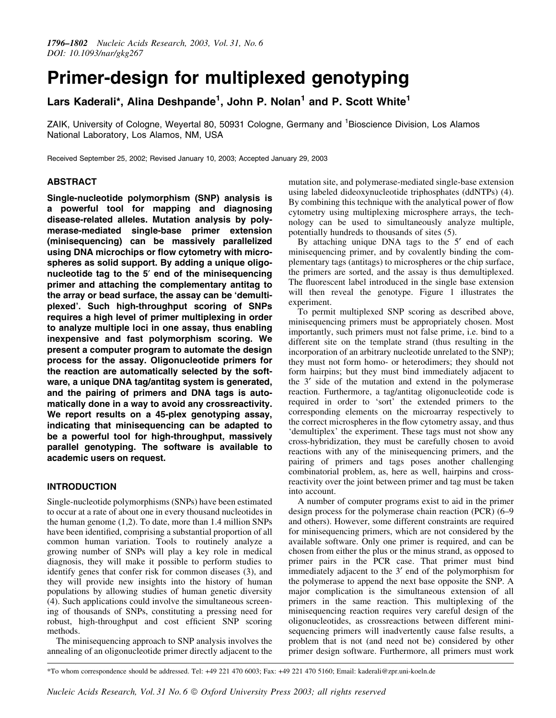# Primer-design for multiplexed genotyping

## Lars Kaderali\*, Alina Deshpande<sup>1</sup>, John P. Nolan<sup>1</sup> and P. Scott White<sup>1</sup>

ZAIK, University of Cologne, Weyertal 80, 50931 Cologne, Germany and <sup>1</sup>Bioscience Division, Los Alamos National Laboratory, Los Alamos, NM, USA

Received September 25, 2002; Revised January 10, 2003; Accepted January 29, 2003

## ABSTRACT

Single-nucleotide polymorphism (SNP) analysis is a powerful tool for mapping and diagnosing disease-related alleles. Mutation analysis by polymerase-mediated single-base primer extension (minisequencing) can be massively parallelized using DNA microchips or flow cytometry with microspheres as solid support. By adding a unique oligonucleotide tag to the 5' end of the minisequencing primer and attaching the complementary antitag to the array or bead surface, the assay can be 'demultiplexed'. Such high-throughput scoring of SNPs requires a high level of primer multiplexing in order to analyze multiple loci in one assay, thus enabling inexpensive and fast polymorphism scoring. We present a computer program to automate the design process for the assay. Oligonucleotide primers for the reaction are automatically selected by the software, a unique DNA tag/antitag system is generated, and the pairing of primers and DNA tags is automatically done in a way to avoid any crossreactivity. We report results on a 45-plex genotyping assay, indicating that minisequencing can be adapted to be a powerful tool for high-throughput, massively parallel genotyping. The software is available to academic users on request.

## INTRODUCTION

Single-nucleotide polymorphisms (SNPs) have been estimated to occur at a rate of about one in every thousand nucleotides in the human genome (1,2). To date, more than 1.4 million SNPs have been identified, comprising a substantial proportion of all common human variation. Tools to routinely analyze a growing number of SNPs will play a key role in medical diagnosis, they will make it possible to perform studies to identify genes that confer risk for common diseases (3), and they will provide new insights into the history of human populations by allowing studies of human genetic diversity (4). Such applications could involve the simultaneous screening of thousands of SNPs, constituting a pressing need for robust, high-throughput and cost efficient SNP scoring methods.

The minisequencing approach to SNP analysis involves the annealing of an oligonucleotide primer directly adjacent to the mutation site, and polymerase-mediated single-base extension using labeled dideoxynucleotide triphosphates (ddNTPs) (4). By combining this technique with the analytical power of flow cytometry using multiplexing microsphere arrays, the technology can be used to simultaneously analyze multiple, potentially hundreds to thousands of sites (5).

By attaching unique DNA tags to the 5' end of each minisequencing primer, and by covalently binding the complementary tags (antitags) to microspheres or the chip surface, the primers are sorted, and the assay is thus demultiplexed. The fluorescent label introduced in the single base extension will then reveal the genotype. Figure 1 illustrates the experiment.

To permit multiplexed SNP scoring as described above, minisequencing primers must be appropriately chosen. Most importantly, such primers must not false prime, i.e. bind to a different site on the template strand (thus resulting in the incorporation of an arbitrary nucleotide unrelated to the SNP); they must not form homo- or heterodimers; they should not form hairpins; but they must bind immediately adjacent to the 3' side of the mutation and extend in the polymerase reaction. Furthermore, a tag/antitag oligonucleotide code is required in order to `sort' the extended primers to the corresponding elements on the microarray respectively to the correct microspheres in the flow cytometry assay, and thus `demultiplex' the experiment. These tags must not show any cross-hybridization, they must be carefully chosen to avoid reactions with any of the minisequencing primers, and the pairing of primers and tags poses another challenging combinatorial problem, as, here as well, hairpins and crossreactivity over the joint between primer and tag must be taken into account.

A number of computer programs exist to aid in the primer design process for the polymerase chain reaction (PCR) (6–9 and others). However, some different constraints are required for minisequencing primers, which are not considered by the available software. Only one primer is required, and can be chosen from either the plus or the minus strand, as opposed to primer pairs in the PCR case. That primer must bind immediately adjacent to the 3' end of the polymorphism for the polymerase to append the next base opposite the SNP. A major complication is the simultaneous extension of all primers in the same reaction. This multiplexing of the minisequencing reaction requires very careful design of the oligonucleotides, as crossreactions between different minisequencing primers will inadvertently cause false results, a problem that is not (and need not be) considered by other primer design software. Furthermore, all primers must work

\*To whom correspondence should be addressed. Tel: +49 221 470 6003; Fax: +49 221 470 5160; Email: kaderali@zpr.uni-koeln.de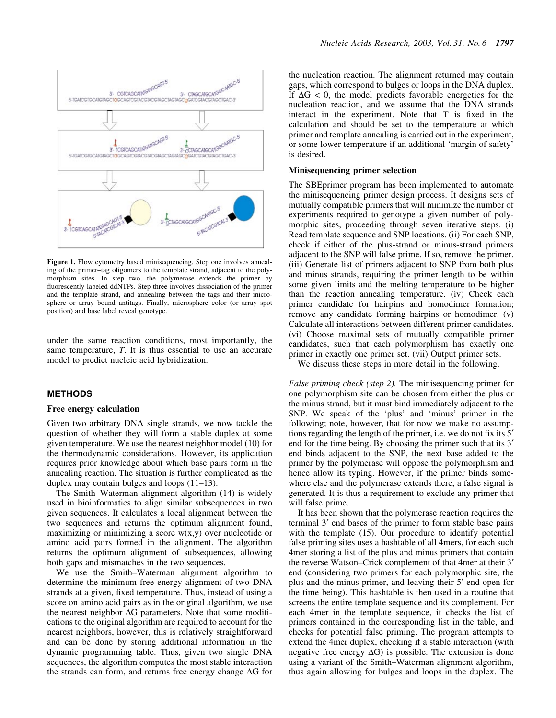

Figure 1. Flow cytometry based minisequencing. Step one involves annealing of the primer-tag oligomers to the template strand, adjacent to the polymorphism sites. In step two, the polymerase extends the primer by fluorescently labeled ddNTPs. Step three involves dissociation of the primer and the template strand, and annealing between the tags and their microsphere or array bound antitags. Finally, microsphere color (or array spot position) and base label reveal genotype.

under the same reaction conditions, most importantly, the same temperature, T. It is thus essential to use an accurate model to predict nucleic acid hybridization.

#### METHODS

#### Free energy calculation

Given two arbitrary DNA single strands, we now tackle the question of whether they will form a stable duplex at some given temperature. We use the nearest neighbor model (10) for the thermodynamic considerations. However, its application requires prior knowledge about which base pairs form in the annealing reaction. The situation is further complicated as the duplex may contain bulges and loops  $(11–13)$ .

The Smith–Waterman alignment algorithm (14) is widely used in bioinformatics to align similar subsequences in two given sequences. It calculates a local alignment between the two sequences and returns the optimum alignment found, maximizing or minimizing a score  $w(x,y)$  over nucleotide or amino acid pairs formed in the alignment. The algorithm returns the optimum alignment of subsequences, allowing both gaps and mismatches in the two sequences.

We use the Smith-Waterman alignment algorithm to determine the minimum free energy alignment of two DNA strands at a given, fixed temperature. Thus, instead of using a score on amino acid pairs as in the original algorithm, we use the nearest neighbor  $\Delta G$  parameters. Note that some modifications to the original algorithm are required to account for the nearest neighbors, however, this is relatively straightforward and can be done by storing additional information in the dynamic programming table. Thus, given two single DNA sequences, the algorithm computes the most stable interaction the strands can form, and returns free energy change  $\Delta G$  for the nucleation reaction. The alignment returned may contain gaps, which correspond to bulges or loops in the DNA duplex. If  $\Delta G$  < 0, the model predicts favorable energetics for the nucleation reaction, and we assume that the DNA strands interact in the experiment. Note that T is fixed in the calculation and should be set to the temperature at which primer and template annealing is carried out in the experiment, or some lower temperature if an additional `margin of safety' is desired.

#### Minisequencing primer selection

The SBEprimer program has been implemented to automate the minisequencing primer design process. It designs sets of mutually compatible primers that will minimize the number of experiments required to genotype a given number of polymorphic sites, proceeding through seven iterative steps. (i) Read template sequence and SNP locations. (ii) For each SNP, check if either of the plus-strand or minus-strand primers adjacent to the SNP will false prime. If so, remove the primer. (iii) Generate list of primers adjacent to SNP from both plus and minus strands, requiring the primer length to be within some given limits and the melting temperature to be higher than the reaction annealing temperature. (iv) Check each primer candidate for hairpins and homodimer formation; remove any candidate forming hairpins or homodimer. (v) Calculate all interactions between different primer candidates. (vi) Choose maximal sets of mutually compatible primer candidates, such that each polymorphism has exactly one primer in exactly one primer set. (vii) Output primer sets.

We discuss these steps in more detail in the following.

False priming check (step 2). The minisequencing primer for one polymorphism site can be chosen from either the plus or the minus strand, but it must bind immediately adjacent to the SNP. We speak of the `plus' and `minus' primer in the following; note, however, that for now we make no assumptions regarding the length of the primer, i.e. we do not fix its 5' end for the time being. By choosing the primer such that its 3' end binds adjacent to the SNP, the next base added to the primer by the polymerase will oppose the polymorphism and hence allow its typing. However, if the primer binds somewhere else and the polymerase extends there, a false signal is generated. It is thus a requirement to exclude any primer that will false prime.

It has been shown that the polymerase reaction requires the terminal 3¢ end bases of the primer to form stable base pairs with the template (15). Our procedure to identify potential false priming sites uses a hashtable of all 4mers, for each such 4mer storing a list of the plus and minus primers that contain the reverse Watson-Crick complement of that 4mer at their 3<sup>'</sup> end (considering two primers for each polymorphic site, the plus and the minus primer, and leaving their 5' end open for the time being). This hashtable is then used in a routine that screens the entire template sequence and its complement. For each 4mer in the template sequence, it checks the list of primers contained in the corresponding list in the table, and checks for potential false priming. The program attempts to extend the 4mer duplex, checking if a stable interaction (with negative free energy  $\Delta G$ ) is possible. The extension is done using a variant of the Smith–Waterman alignment algorithm, thus again allowing for bulges and loops in the duplex. The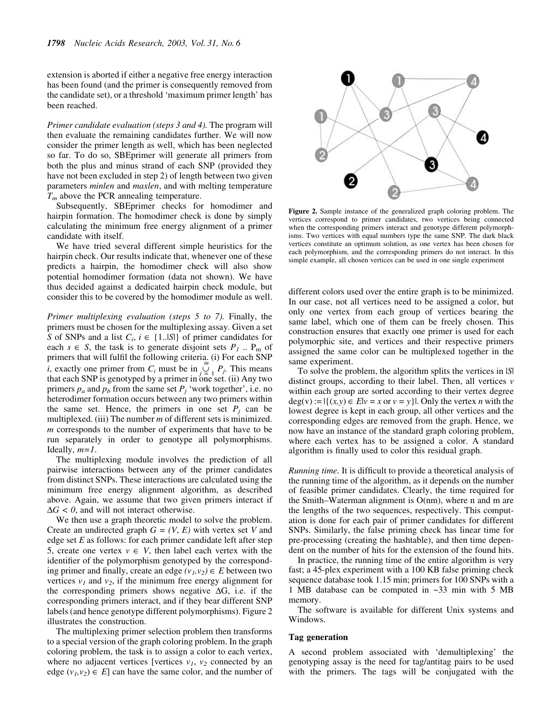extension is aborted if either a negative free energy interaction has been found (and the primer is consequently removed from the candidate set), or a threshold `maximum primer length' has been reached.

Primer candidate evaluation (steps 3 and 4). The program will then evaluate the remaining candidates further. We will now consider the primer length as well, which has been neglected so far. To do so, SBEprimer will generate all primers from both the plus and minus strand of each SNP (provided they have not been excluded in step 2) of length between two given parameters *minlen* and *maxlen*, and with melting temperature  $T_m$  above the PCR annealing temperature.

Subsequently, SBEprimer checks for homodimer and hairpin formation. The homodimer check is done by simply calculating the minimum free energy alignment of a primer candidate with itself.

We have tried several different simple heuristics for the hairpin check. Our results indicate that, whenever one of these predicts a hairpin, the homodimer check will also show potential homodimer formation (data not shown). We have thus decided against a dedicated hairpin check module, but consider this to be covered by the homodimer module as well.

Primer multiplexing evaluation (steps 5 to 7). Finally, the primers must be chosen for the multiplexing assay. Given a set S of SNPs and a list  $C_i$ ,  $i \in \{1..|S|\}$  of primer candidates for each  $s \in S$ , the task is to generate disjoint sets  $P_1$ .. P<sub>m</sub> of primers that will fulfil the following criteria. (i) For each SNP i, exactly one primer from  $C_i$  must be in  $\bigcup_{j=1}^m P_j$ . This means that each SNP is genotyped by a primer in one set. (ii) Any two primers  $p_a$  and  $p_b$  from the same set  $P_i$  'work together', i.e. no heterodimer formation occurs between any two primers within the same set. Hence, the primers in one set  $P_i$  can be multiplexed. (iii) The number  $m$  of different sets is minimized. m corresponds to the number of experiments that have to be run separately in order to genotype all polymorphisms. Ideally,  $m=1$ .

The multiplexing module involves the prediction of all pairwise interactions between any of the primer candidates from distinct SNPs. These interactions are calculated using the minimum free energy alignment algorithm, as described above. Again, we assume that two given primers interact if  $\Delta G < 0$ , and will not interact otherwise.

We then use a graph theoretic model to solve the problem. Create an undirected graph  $G = (V, E)$  with vertex set V and edge set  $E$  as follows: for each primer candidate left after step 5, create one vertex  $v \in V$ , then label each vertex with the identifier of the polymorphism genotyped by the corresponding primer and finally, create an edge  $(v_1, v_2) \in E$  between two vertices  $v_1$  and  $v_2$ , if the minimum free energy alignment for the corresponding primers shows negative  $\Delta G$ , i.e. if the corresponding primers interact, and if they bear different SNP labels (and hence genotype different polymorphisms). Figure 2 illustrates the construction.

The multiplexing primer selection problem then transforms to a special version of the graph coloring problem. In the graph coloring problem, the task is to assign a color to each vertex, where no adjacent vertices [vertices  $v_1$ ,  $v_2$  connected by an edge  $(v_1, v_2) \in E$  can have the same color, and the number of



Figure 2. Sample instance of the generalized graph coloring problem. The vertices correspond to primer candidates, two vertices being connected when the corresponding primers interact and genotype different polymorphisms. Two vertices with equal numbers type the same SNP. The dark black vertices constitute an optimum solution, as one vertex has been chosen for each polymorphism, and the corresponding primers do not interact. In this simple example, all chosen vertices can be used in one single experiment

different colors used over the entire graph is to be minimized. In our case, not all vertices need to be assigned a color, but only one vertex from each group of vertices bearing the same label, which one of them can be freely chosen. This construction ensures that exactly one primer is used for each polymorphic site, and vertices and their respective primers assigned the same color can be multiplexed together in the same experiment.

To solve the problem, the algorithm splits the vertices in |S| distinct groups, according to their label. Then, all vertices  $v$ within each group are sorted according to their vertex degree  $deg(v) := |\{(x, y) \in E | v = x \text{ or } v = y\}|.$  Only the vertex *n* with the lowest degree is kept in each group, all other vertices and the corresponding edges are removed from the graph. Hence, we now have an instance of the standard graph coloring problem, where each vertex has to be assigned a color. A standard algorithm is finally used to color this residual graph.

Running time. It is difficult to provide a theoretical analysis of the running time of the algorithm, as it depends on the number of feasible primer candidates. Clearly, the time required for the Smith–Waterman alignment is  $O(nm)$ , where n and m are the lengths of the two sequences, respectively. This computation is done for each pair of primer candidates for different SNPs. Similarly, the false priming check has linear time for pre-processing (creating the hashtable), and then time dependent on the number of hits for the extension of the found hits.

In practice, the running time of the entire algorithm is very fast; a 45-plex experiment with a 100 KB false priming check sequence database took 1.15 min; primers for 100 SNPs with a 1 MB database can be computed in ~33 min with 5 MB memory.

The software is available for different Unix systems and Windows.

#### Tag generation

A second problem associated with `demultiplexing' the genotyping assay is the need for tag/antitag pairs to be used with the primers. The tags will be conjugated with the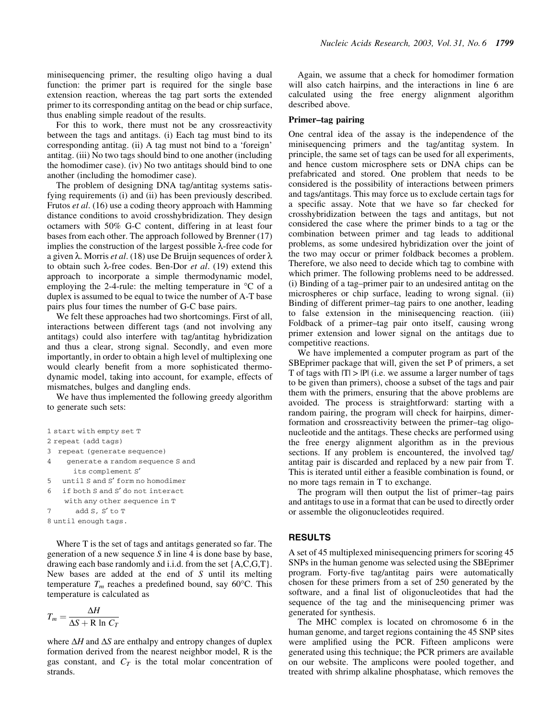minisequencing primer, the resulting oligo having a dual function: the primer part is required for the single base extension reaction, whereas the tag part sorts the extended primer to its corresponding antitag on the bead or chip surface, thus enabling simple readout of the results.

For this to work, there must not be any crossreactivity between the tags and antitags. (i) Each tag must bind to its corresponding antitag. (ii) A tag must not bind to a `foreign' antitag. (iii) No two tags should bind to one another (including the homodimer case). (iv) No two antitags should bind to one another (including the homodimer case).

The problem of designing DNA tag/antitag systems satisfying requirements (i) and (ii) has been previously described. Frutos et al. (16) use a coding theory approach with Hamming distance conditions to avoid crosshybridization. They design octamers with 50% G-C content, differing in at least four bases from each other. The approach followed by Brenner (17) implies the construction of the largest possible  $\lambda$ -free code for a given  $\lambda$ . Morris *et al.* (18) use De Bruijn sequences of order  $\lambda$ to obtain such  $\lambda$ -free codes. Ben-Dor *et al.* (19) extend this approach to incorporate a simple thermodynamic model, employing the 2-4-rule: the melting temperature in  $\mathrm{C}$  of a duplex is assumed to be equal to twice the number of A-T base pairs plus four times the number of G-C base pairs.

We felt these approaches had two shortcomings. First of all, interactions between different tags (and not involving any antitags) could also interfere with tag/antitag hybridization and thus a clear, strong signal. Secondly, and even more importantly, in order to obtain a high level of multiplexing one would clearly benefit from a more sophisticated thermodynamic model, taking into account, for example, effects of mismatches, bulges and dangling ends.

We have thus implemented the following greedy algorithm to generate such sets:

```
1 start with empty set T
2 repeat (add tags)
3 repeat (generate sequence)
4 generate a random sequence S and
      its complement S'
5 until S and S' form no homodimer
6 if both S and S' do not interact
    with any other sequence in T
7 add S, S'to T
8 until enough tags.
```
Where T is the set of tags and antitags generated so far. The generation of a new sequence  $S$  in line 4 is done base by base, drawing each base randomly and i.i.d. from the set {A,C,G,T}. New bases are added at the end of S until its melting temperature  $T_m$  reaches a predefined bound, say 60 $\degree$ C. This temperature is calculated as

$$
T_m = \frac{\Delta H}{\Delta S + R \ln C_T}
$$

where  $\Delta H$  and  $\Delta S$  are enthalpy and entropy changes of duplex formation derived from the nearest neighbor model, R is the gas constant, and  $C_T$  is the total molar concentration of strands.

Again, we assume that a check for homodimer formation will also catch hairpins, and the interactions in line 6 are calculated using the free energy alignment algorithm described above.

### Primer-tag pairing

One central idea of the assay is the independence of the minisequencing primers and the tag/antitag system. In principle, the same set of tags can be used for all experiments, and hence custom microsphere sets or DNA chips can be prefabricated and stored. One problem that needs to be considered is the possibility of interactions between primers and tags/antitags. This may force us to exclude certain tags for a specific assay. Note that we have so far checked for crosshybridization between the tags and antitags, but not considered the case where the primer binds to a tag or the combination between primer and tag leads to additional problems, as some undesired hybridization over the joint of the two may occur or primer foldback becomes a problem. Therefore, we also need to decide which tag to combine with which primer. The following problems need to be addressed. (i) Binding of a tag-primer pair to an undesired antitag on the microspheres or chip surface, leading to wrong signal. (ii) Binding of different primer-tag pairs to one another, leading to false extension in the minisequencing reaction. (iii) Foldback of a primer-tag pair onto itself, causing wrong primer extension and lower signal on the antitags due to competitive reactions.

We have implemented a computer program as part of the SBEprimer package that will, given the set P of primers, a set T of tags with  $|T| > |P|$  (i.e. we assume a larger number of tags to be given than primers), choose a subset of the tags and pair them with the primers, ensuring that the above problems are avoided. The process is straightforward: starting with a random pairing, the program will check for hairpins, dimerformation and crossreactivity between the primer-tag oligonucleotide and the antitags. These checks are performed using the free energy alignment algorithm as in the previous sections. If any problem is encountered, the involved tag/ antitag pair is discarded and replaced by a new pair from T. This is iterated until either a feasible combination is found, or no more tags remain in T to exchange.

The program will then output the list of primer-tag pairs and antitags to use in a format that can be used to directly order or assemble the oligonucleotides required.

## RESULTS

A set of 45 multiplexed minisequencing primers for scoring 45 SNPs in the human genome was selected using the SBEprimer program. Forty-five tag/antitag pairs were automatically chosen for these primers from a set of 250 generated by the software, and a final list of oligonucleotides that had the sequence of the tag and the minisequencing primer was generated for synthesis.

The MHC complex is located on chromosome 6 in the human genome, and target regions containing the 45 SNP sites were amplified using the PCR. Fifteen amplicons were generated using this technique; the PCR primers are available on our website. The amplicons were pooled together, and treated with shrimp alkaline phosphatase, which removes the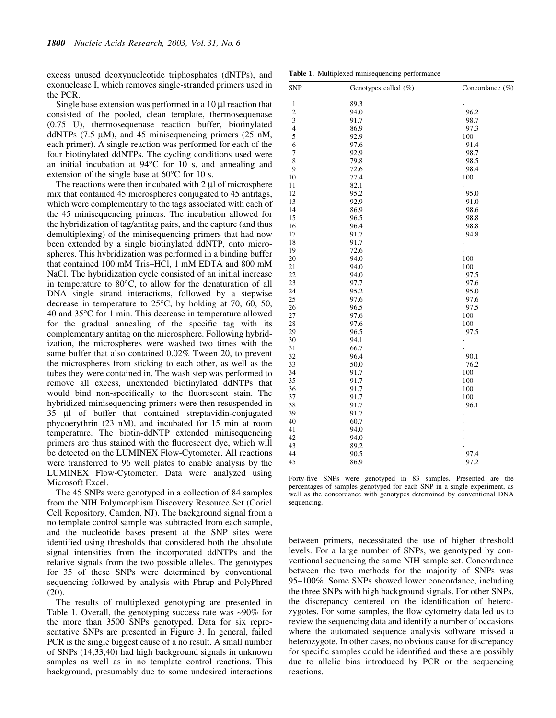excess unused deoxynucleotide triphosphates (dNTPs), and exonuclease I, which removes single-stranded primers used in the PCR.

Single base extension was performed in a  $10 \mu$ l reaction that consisted of the pooled, clean template, thermosequenase (0.75 U), thermosequenase reaction buffer, biotinylated ddNTPs  $(7.5 \mu M)$ , and 45 minisequencing primers  $(25 \mu M)$ , each primer). A single reaction was performed for each of the four biotinylated ddNTPs. The cycling conditions used were an initial incubation at 94°C for 10 s, and annealing and extension of the single base at 60°C for 10 s.

The reactions were then incubated with  $2 \mu$ l of microsphere mix that contained 45 microspheres conjugated to 45 antitags, which were complementary to the tags associated with each of the 45 minisequencing primers. The incubation allowed for the hybridization of tag/antitag pairs, and the capture (and thus demultiplexing) of the minisequencing primers that had now been extended by a single biotinylated ddNTP, onto microspheres. This hybridization was performed in a binding buffer that contained 100 mM Tris-HCl, 1 mM EDTA and 800 mM NaCl. The hybridization cycle consisted of an initial increase in temperature to 80°C, to allow for the denaturation of all DNA single strand interactions, followed by a stepwise decrease in temperature to 25°C, by holding at 70, 60, 50, 40 and 35°C for 1 min. This decrease in temperature allowed for the gradual annealing of the specific tag with its complementary antitag on the microsphere. Following hybridization, the microspheres were washed two times with the same buffer that also contained 0.02% Tween 20, to prevent the microspheres from sticking to each other, as well as the tubes they were contained in. The wash step was performed to remove all excess, unextended biotinylated ddNTPs that would bind non-specifically to the fluorescent stain. The hybridized minisequencing primers were then resuspended in 35 µl of buffer that contained streptavidin-conjugated phycoerythrin (23 nM), and incubated for 15 min at room temperature. The biotin-ddNTP extended minisequencing primers are thus stained with the fluorescent dye, which will be detected on the LUMINEX Flow-Cytometer. All reactions were transferred to 96 well plates to enable analysis by the LUMINEX Flow-Cytometer. Data were analyzed using Microsoft Excel.

The 45 SNPs were genotyped in a collection of 84 samples from the NIH Polymorphism Discovery Resource Set (Coriel Cell Repository, Camden, NJ). The background signal from a no template control sample was subtracted from each sample, and the nucleotide bases present at the SNP sites were identified using thresholds that considered both the absolute signal intensities from the incorporated ddNTPs and the relative signals from the two possible alleles. The genotypes for 35 of these SNPs were determined by conventional sequencing followed by analysis with Phrap and PolyPhred (20).

The results of multiplexed genotyping are presented in Table 1. Overall, the genotyping success rate was ~90% for the more than 3500 SNPs genotyped. Data for six representative SNPs are presented in Figure 3. In general, failed PCR is the single biggest cause of a no result. A small number of SNPs (14,33,40) had high background signals in unknown samples as well as in no template control reactions. This background, presumably due to some undesired interactions

Table 1. Multiplexed minisequencing performance

| <b>SNP</b>              | Genotypes called (%) | Concordance (%)          |
|-------------------------|----------------------|--------------------------|
| $\,1\,$                 | 89.3                 |                          |
| $\overline{c}$          | 94.0                 | 96.2                     |
| 3                       | 91.7                 | 98.7                     |
| $\overline{\mathbf{4}}$ | 86.9                 | 97.3                     |
| 5                       | 92.9                 | 100                      |
| 6                       | 97.6                 | 91.4                     |
| $\overline{7}$          | 92.9                 | 98.7                     |
| 8                       | 79.8                 | 98.5                     |
| 9                       | 72.6                 | 98.4                     |
| 10                      | 77.4                 | 100                      |
| 11                      | 82.1                 | $\overline{\phantom{0}}$ |
| 12                      | 95.2                 | 95.0                     |
| 13                      | 92.9                 | 91.0                     |
| 14                      | 86.9                 | 98.6                     |
| 15                      | 96.5                 | 98.8                     |
| 16                      | 96.4                 | 98.8                     |
| 17                      | 91.7                 | 94.8                     |
| 18                      |                      |                          |
|                         | 91.7                 |                          |
| 19                      | 72.6                 |                          |
| 20                      | 94.0                 | 100                      |
| 21                      | 94.0                 | 100                      |
| 22                      | 94.0                 | 97.5                     |
| 23                      | 97.7                 | 97.6                     |
| 24                      | 95.2                 | 95.0                     |
| 25                      | 97.6                 | 97.6                     |
| 26                      | 96.5                 | 97.5                     |
| 27                      | 97.6                 | 100                      |
| 28                      | 97.6                 | 100                      |
| 29                      | 96.5                 | 97.5                     |
| 30                      | 94.1                 |                          |
| 31                      | 66.7                 |                          |
| 32                      | 96.4                 | 90.1                     |
| 33                      | 50.0                 | 76.2                     |
| 34                      | 91.7                 | 100                      |
| 35                      | 91.7                 | 100                      |
| 36                      | 91.7                 | 100                      |
| 37                      | 91.7                 | 100                      |
| 38                      | 91.7                 | 96.1                     |
| 39                      | 91.7                 |                          |
| 40                      | 60.7                 |                          |
| 41                      | 94.0                 |                          |
| 42                      | 94.0                 |                          |
| 43                      | 89.2                 |                          |
| 44                      | 90.5                 | 97.4                     |
| 45                      | 86.9                 | 97.2                     |
|                         |                      |                          |

Forty-five SNPs were genotyped in 83 samples. Presented are the percentages of samples genotyped for each SNP in a single experiment, as well as the concordance with genotypes determined by conventional DNA sequencing.

between primers, necessitated the use of higher threshold levels. For a large number of SNPs, we genotyped by conventional sequencing the same NIH sample set. Concordance between the two methods for the majority of SNPs was 95–100%. Some SNPs showed lower concordance, including the three SNPs with high background signals. For other SNPs, the discrepancy centered on the identification of heterozygotes. For some samples, the flow cytometry data led us to review the sequencing data and identify a number of occasions where the automated sequence analysis software missed a heterozygote. In other cases, no obvious cause for discrepancy for specific samples could be identified and these are possibly due to allelic bias introduced by PCR or the sequencing reactions.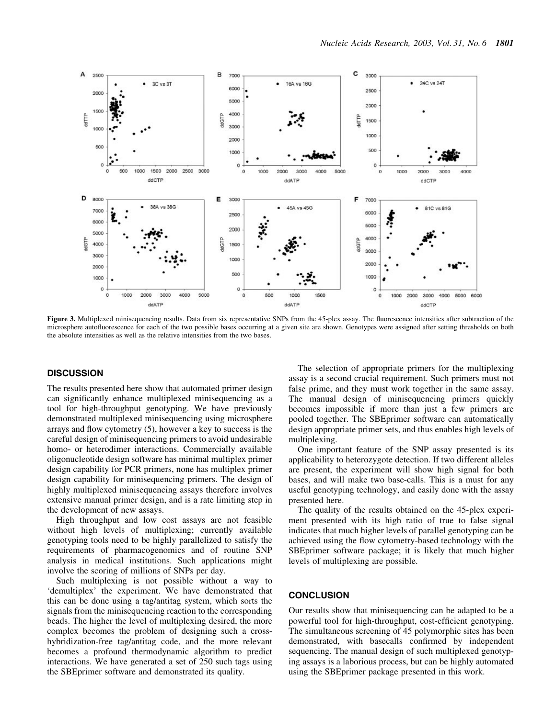

Figure 3. Multiplexed minisequencing results. Data from six representative SNPs from the 45-plex assay. The fluorescence intensities after subtraction of the microsphere autofluorescence for each of the two possible bases occurring at a given site are shown. Genotypes were assigned after setting thresholds on both the absolute intensities as well as the relative intensities from the two bases.

#### **DISCUSSION**

The results presented here show that automated primer design can significantly enhance multiplexed minisequencing as a tool for high-throughput genotyping. We have previously demonstrated multiplexed minisequencing using microsphere arrays and flow cytometry  $(5)$ , however a key to success is the careful design of minisequencing primers to avoid undesirable homo- or heterodimer interactions. Commercially available oligonucleotide design software has minimal multiplex primer design capability for PCR primers, none has multiplex primer design capability for minisequencing primers. The design of highly multiplexed minisequencing assays therefore involves extensive manual primer design, and is a rate limiting step in the development of new assays.

High throughput and low cost assays are not feasible without high levels of multiplexing; currently available genotyping tools need to be highly parallelized to satisfy the requirements of pharmacogenomics and of routine SNP analysis in medical institutions. Such applications might involve the scoring of millions of SNPs per day.

Such multiplexing is not possible without a way to `demultiplex' the experiment. We have demonstrated that this can be done using a tag/antitag system, which sorts the signals from the minisequencing reaction to the corresponding beads. The higher the level of multiplexing desired, the more complex becomes the problem of designing such a crosshybridization-free tag/antitag code, and the more relevant becomes a profound thermodynamic algorithm to predict interactions. We have generated a set of 250 such tags using the SBEprimer software and demonstrated its quality.

The selection of appropriate primers for the multiplexing assay is a second crucial requirement. Such primers must not false prime, and they must work together in the same assay. The manual design of minisequencing primers quickly becomes impossible if more than just a few primers are pooled together. The SBEprimer software can automatically design appropriate primer sets, and thus enables high levels of multiplexing.

One important feature of the SNP assay presented is its applicability to heterozygote detection. If two different alleles are present, the experiment will show high signal for both bases, and will make two base-calls. This is a must for any useful genotyping technology, and easily done with the assay presented here.

The quality of the results obtained on the 45-plex experiment presented with its high ratio of true to false signal indicates that much higher levels of parallel genotyping can be achieved using the flow cytometry-based technology with the SBEprimer software package; it is likely that much higher levels of multiplexing are possible.

#### **CONCLUSION**

Our results show that minisequencing can be adapted to be a powerful tool for high-throughput, cost-efficient genotyping. The simultaneous screening of 45 polymorphic sites has been demonstrated, with basecalls confirmed by independent sequencing. The manual design of such multiplexed genotyping assays is a laborious process, but can be highly automated using the SBEprimer package presented in this work.